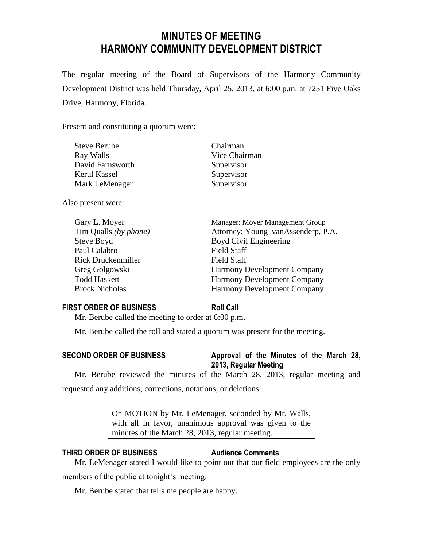# **MINUTES OF MEETING HARMONY COMMUNITY DEVELOPMENT DISTRICT**

The regular meeting of the Board of Supervisors of the Harmony Community Development District was held Thursday, April 25, 2013, at 6:00 p.m. at 7251 Five Oaks Drive, Harmony, Florida.

Present and constituting a quorum were:

| <b>Steve Berube</b> | Chairman      |
|---------------------|---------------|
| Ray Walls           | Vice Chairman |
| David Farnsworth    | Supervisor    |
| Kerul Kassel        | Supervisor    |
| Mark LeMenager      | Supervisor    |
|                     |               |
|                     |               |

Also present were:

| Gary L. Moyer         |
|-----------------------|
| Tim Qualls (by phone) |
| Steve Boyd            |
| Paul Calabro          |
| Rick Druckenmiller    |
| Greg Golgowski        |
| <b>Todd Haskett</b>   |
| <b>Brock Nicholas</b> |

Manager: Moyer Management Group Attorney: Young vanAssenderp, P.A. Boyd Civil Engineering Field Staff **Field Staff** Harmony Development Company Harmony Development Company Harmony Development Company

# **FIRST ORDER OF BUSINESS Roll Call**

Mr. Berube called the meeting to order at 6:00 p.m.

Mr. Berube called the roll and stated a quorum was present for the meeting.

**SECOND ORDER OF BUSINESS Approval of the Minutes of the March 28, 2013, Regular Meeting**

Mr. Berube reviewed the minutes of the March 28, 2013, regular meeting and requested any additions, corrections, notations, or deletions.

> On MOTION by Mr. LeMenager, seconded by Mr. Walls, with all in favor, unanimous approval was given to the minutes of the March 28, 2013, regular meeting.

# **THIRD ORDER OF BUSINESS Audience Comments**

Mr. LeMenager stated I would like to point out that our field employees are the only members of the public at tonight's meeting.

Mr. Berube stated that tells me people are happy.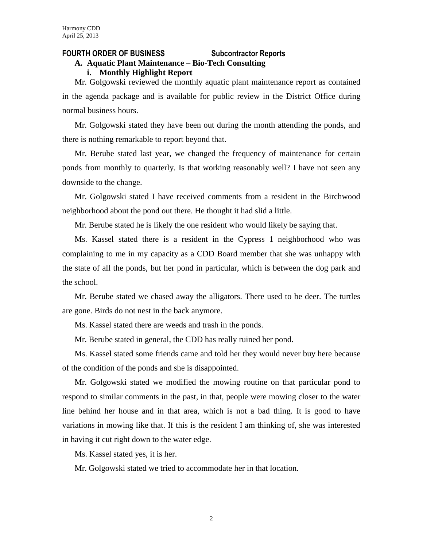#### **FOURTH ORDER OF BUSINESS Subcontractor Reports**

# **A. Aquatic Plant Maintenance – Bio-Tech Consulting**

#### **i. Monthly Highlight Report**

Mr. Golgowski reviewed the monthly aquatic plant maintenance report as contained in the agenda package and is available for public review in the District Office during normal business hours.

Mr. Golgowski stated they have been out during the month attending the ponds, and there is nothing remarkable to report beyond that.

Mr. Berube stated last year, we changed the frequency of maintenance for certain ponds from monthly to quarterly. Is that working reasonably well? I have not seen any downside to the change.

Mr. Golgowski stated I have received comments from a resident in the Birchwood neighborhood about the pond out there. He thought it had slid a little.

Mr. Berube stated he is likely the one resident who would likely be saying that.

Ms. Kassel stated there is a resident in the Cypress 1 neighborhood who was complaining to me in my capacity as a CDD Board member that she was unhappy with the state of all the ponds, but her pond in particular, which is between the dog park and the school.

Mr. Berube stated we chased away the alligators. There used to be deer. The turtles are gone. Birds do not nest in the back anymore.

Ms. Kassel stated there are weeds and trash in the ponds.

Mr. Berube stated in general, the CDD has really ruined her pond.

Ms. Kassel stated some friends came and told her they would never buy here because of the condition of the ponds and she is disappointed.

Mr. Golgowski stated we modified the mowing routine on that particular pond to respond to similar comments in the past, in that, people were mowing closer to the water line behind her house and in that area, which is not a bad thing. It is good to have variations in mowing like that. If this is the resident I am thinking of, she was interested in having it cut right down to the water edge.

Ms. Kassel stated yes, it is her.

Mr. Golgowski stated we tried to accommodate her in that location.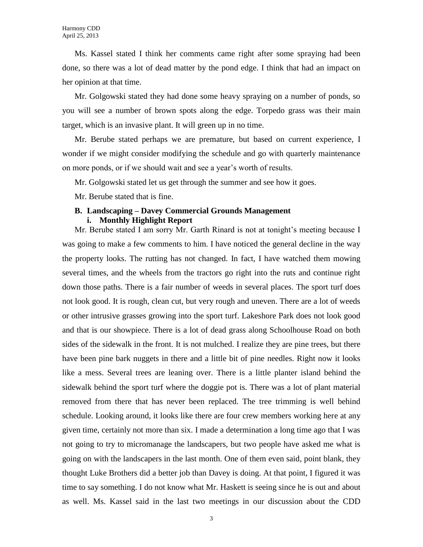Ms. Kassel stated I think her comments came right after some spraying had been done, so there was a lot of dead matter by the pond edge. I think that had an impact on her opinion at that time.

Mr. Golgowski stated they had done some heavy spraying on a number of ponds, so you will see a number of brown spots along the edge. Torpedo grass was their main target, which is an invasive plant. It will green up in no time.

Mr. Berube stated perhaps we are premature, but based on current experience, I wonder if we might consider modifying the schedule and go with quarterly maintenance on more ponds, or if we should wait and see a year's worth of results.

Mr. Golgowski stated let us get through the summer and see how it goes.

Mr. Berube stated that is fine.

# **B. Landscaping – Davey Commercial Grounds Management**

#### **i. Monthly Highlight Report**

Mr. Berube stated I am sorry Mr. Garth Rinard is not at tonight's meeting because I was going to make a few comments to him. I have noticed the general decline in the way the property looks. The rutting has not changed. In fact, I have watched them mowing several times, and the wheels from the tractors go right into the ruts and continue right down those paths. There is a fair number of weeds in several places. The sport turf does not look good. It is rough, clean cut, but very rough and uneven. There are a lot of weeds or other intrusive grasses growing into the sport turf. Lakeshore Park does not look good and that is our showpiece. There is a lot of dead grass along Schoolhouse Road on both sides of the sidewalk in the front. It is not mulched. I realize they are pine trees, but there have been pine bark nuggets in there and a little bit of pine needles. Right now it looks like a mess. Several trees are leaning over. There is a little planter island behind the sidewalk behind the sport turf where the doggie pot is. There was a lot of plant material removed from there that has never been replaced. The tree trimming is well behind schedule. Looking around, it looks like there are four crew members working here at any given time, certainly not more than six. I made a determination a long time ago that I was not going to try to micromanage the landscapers, but two people have asked me what is going on with the landscapers in the last month. One of them even said, point blank, they thought Luke Brothers did a better job than Davey is doing. At that point, I figured it was time to say something. I do not know what Mr. Haskett is seeing since he is out and about as well. Ms. Kassel said in the last two meetings in our discussion about the CDD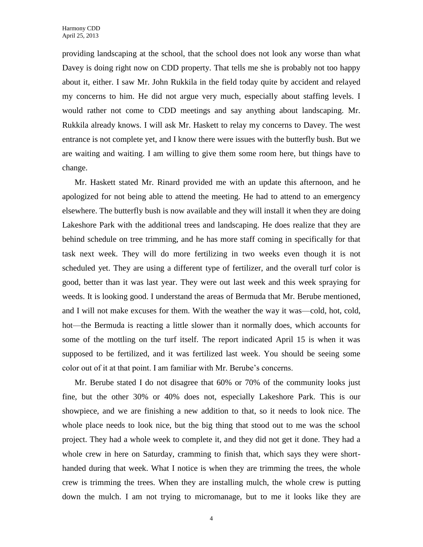providing landscaping at the school, that the school does not look any worse than what Davey is doing right now on CDD property. That tells me she is probably not too happy about it, either. I saw Mr. John Rukkila in the field today quite by accident and relayed my concerns to him. He did not argue very much, especially about staffing levels. I would rather not come to CDD meetings and say anything about landscaping. Mr. Rukkila already knows. I will ask Mr. Haskett to relay my concerns to Davey. The west entrance is not complete yet, and I know there were issues with the butterfly bush. But we are waiting and waiting. I am willing to give them some room here, but things have to change.

Mr. Haskett stated Mr. Rinard provided me with an update this afternoon, and he apologized for not being able to attend the meeting. He had to attend to an emergency elsewhere. The butterfly bush is now available and they will install it when they are doing Lakeshore Park with the additional trees and landscaping. He does realize that they are behind schedule on tree trimming, and he has more staff coming in specifically for that task next week. They will do more fertilizing in two weeks even though it is not scheduled yet. They are using a different type of fertilizer, and the overall turf color is good, better than it was last year. They were out last week and this week spraying for weeds. It is looking good. I understand the areas of Bermuda that Mr. Berube mentioned, and I will not make excuses for them. With the weather the way it was—cold, hot, cold, hot—the Bermuda is reacting a little slower than it normally does, which accounts for some of the mottling on the turf itself. The report indicated April 15 is when it was supposed to be fertilized, and it was fertilized last week. You should be seeing some color out of it at that point. I am familiar with Mr. Berube's concerns.

Mr. Berube stated I do not disagree that 60% or 70% of the community looks just fine, but the other 30% or 40% does not, especially Lakeshore Park. This is our showpiece, and we are finishing a new addition to that, so it needs to look nice. The whole place needs to look nice, but the big thing that stood out to me was the school project. They had a whole week to complete it, and they did not get it done. They had a whole crew in here on Saturday, cramming to finish that, which says they were shorthanded during that week. What I notice is when they are trimming the trees, the whole crew is trimming the trees. When they are installing mulch, the whole crew is putting down the mulch. I am not trying to micromanage, but to me it looks like they are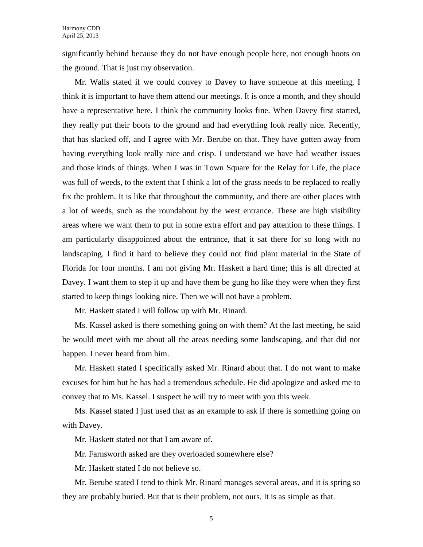significantly behind because they do not have enough people here, not enough boots on the ground. That is just my observation.

Mr. Walls stated if we could convey to Davey to have someone at this meeting, I think it is important to have them attend our meetings. It is once a month, and they should have a representative here. I think the community looks fine. When Davey first started, they really put their boots to the ground and had everything look really nice. Recently, that has slacked off, and I agree with Mr. Berube on that. They have gotten away from having everything look really nice and crisp. I understand we have had weather issues and those kinds of things. When I was in Town Square for the Relay for Life, the place was full of weeds, to the extent that I think a lot of the grass needs to be replaced to really fix the problem. It is like that throughout the community, and there are other places with a lot of weeds, such as the roundabout by the west entrance. These are high visibility areas where we want them to put in some extra effort and pay attention to these things. I am particularly disappointed about the entrance, that it sat there for so long with no landscaping. I find it hard to believe they could not find plant material in the State of Florida for four months. I am not giving Mr. Haskett a hard time; this is all directed at Davey. I want them to step it up and have them be gung ho like they were when they first started to keep things looking nice. Then we will not have a problem.

Mr. Haskett stated I will follow up with Mr. Rinard.

Ms. Kassel asked is there something going on with them? At the last meeting, he said he would meet with me about all the areas needing some landscaping, and that did not happen. I never heard from him.

Mr. Haskett stated I specifically asked Mr. Rinard about that. I do not want to make excuses for him but he has had a tremendous schedule. He did apologize and asked me to convey that to Ms. Kassel. I suspect he will try to meet with you this week.

Ms. Kassel stated I just used that as an example to ask if there is something going on with Davey.

Mr. Haskett stated not that I am aware of.

Mr. Farnsworth asked are they overloaded somewhere else?

Mr. Haskett stated I do not believe so.

Mr. Berube stated I tend to think Mr. Rinard manages several areas, and it is spring so they are probably buried. But that is their problem, not ours. It is as simple as that.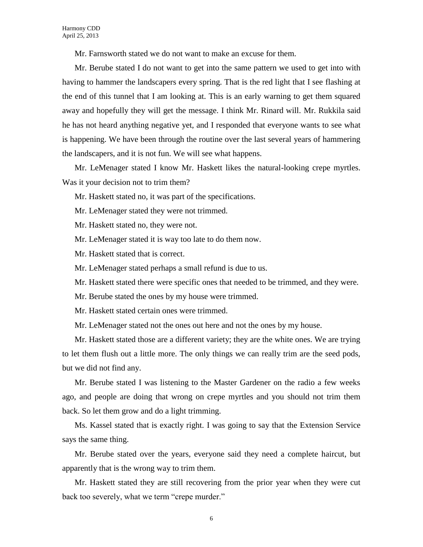Mr. Farnsworth stated we do not want to make an excuse for them.

Mr. Berube stated I do not want to get into the same pattern we used to get into with having to hammer the landscapers every spring. That is the red light that I see flashing at the end of this tunnel that I am looking at. This is an early warning to get them squared away and hopefully they will get the message. I think Mr. Rinard will. Mr. Rukkila said he has not heard anything negative yet, and I responded that everyone wants to see what is happening. We have been through the routine over the last several years of hammering the landscapers, and it is not fun. We will see what happens.

Mr. LeMenager stated I know Mr. Haskett likes the natural-looking crepe myrtles. Was it your decision not to trim them?

Mr. Haskett stated no, it was part of the specifications.

Mr. LeMenager stated they were not trimmed.

Mr. Haskett stated no, they were not.

Mr. LeMenager stated it is way too late to do them now.

Mr. Haskett stated that is correct.

Mr. LeMenager stated perhaps a small refund is due to us.

Mr. Haskett stated there were specific ones that needed to be trimmed, and they were.

Mr. Berube stated the ones by my house were trimmed.

Mr. Haskett stated certain ones were trimmed.

Mr. LeMenager stated not the ones out here and not the ones by my house.

Mr. Haskett stated those are a different variety; they are the white ones. We are trying to let them flush out a little more. The only things we can really trim are the seed pods, but we did not find any.

Mr. Berube stated I was listening to the Master Gardener on the radio a few weeks ago, and people are doing that wrong on crepe myrtles and you should not trim them back. So let them grow and do a light trimming.

Ms. Kassel stated that is exactly right. I was going to say that the Extension Service says the same thing.

Mr. Berube stated over the years, everyone said they need a complete haircut, but apparently that is the wrong way to trim them.

Mr. Haskett stated they are still recovering from the prior year when they were cut back too severely, what we term "crepe murder."

6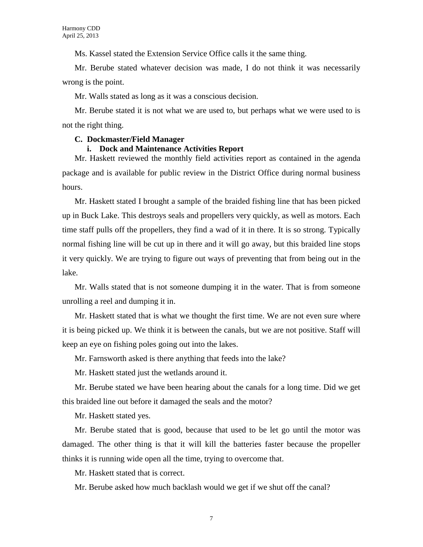Ms. Kassel stated the Extension Service Office calls it the same thing.

Mr. Berube stated whatever decision was made, I do not think it was necessarily wrong is the point.

Mr. Walls stated as long as it was a conscious decision.

Mr. Berube stated it is not what we are used to, but perhaps what we were used to is not the right thing.

#### **C. Dockmaster/Field Manager**

#### **i. Dock and Maintenance Activities Report**

Mr. Haskett reviewed the monthly field activities report as contained in the agenda package and is available for public review in the District Office during normal business hours.

Mr. Haskett stated I brought a sample of the braided fishing line that has been picked up in Buck Lake. This destroys seals and propellers very quickly, as well as motors. Each time staff pulls off the propellers, they find a wad of it in there. It is so strong. Typically normal fishing line will be cut up in there and it will go away, but this braided line stops it very quickly. We are trying to figure out ways of preventing that from being out in the lake.

Mr. Walls stated that is not someone dumping it in the water. That is from someone unrolling a reel and dumping it in.

Mr. Haskett stated that is what we thought the first time. We are not even sure where it is being picked up. We think it is between the canals, but we are not positive. Staff will keep an eye on fishing poles going out into the lakes.

Mr. Farnsworth asked is there anything that feeds into the lake?

Mr. Haskett stated just the wetlands around it.

Mr. Berube stated we have been hearing about the canals for a long time. Did we get this braided line out before it damaged the seals and the motor?

Mr. Haskett stated yes.

Mr. Berube stated that is good, because that used to be let go until the motor was damaged. The other thing is that it will kill the batteries faster because the propeller thinks it is running wide open all the time, trying to overcome that.

Mr. Haskett stated that is correct.

Mr. Berube asked how much backlash would we get if we shut off the canal?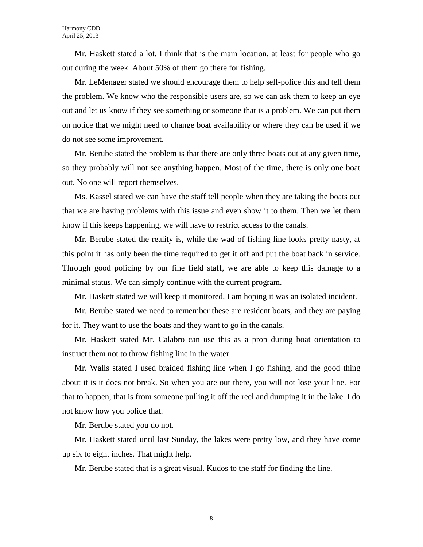Mr. Haskett stated a lot. I think that is the main location, at least for people who go out during the week. About 50% of them go there for fishing.

Mr. LeMenager stated we should encourage them to help self-police this and tell them the problem. We know who the responsible users are, so we can ask them to keep an eye out and let us know if they see something or someone that is a problem. We can put them on notice that we might need to change boat availability or where they can be used if we do not see some improvement.

Mr. Berube stated the problem is that there are only three boats out at any given time, so they probably will not see anything happen. Most of the time, there is only one boat out. No one will report themselves.

Ms. Kassel stated we can have the staff tell people when they are taking the boats out that we are having problems with this issue and even show it to them. Then we let them know if this keeps happening, we will have to restrict access to the canals.

Mr. Berube stated the reality is, while the wad of fishing line looks pretty nasty, at this point it has only been the time required to get it off and put the boat back in service. Through good policing by our fine field staff, we are able to keep this damage to a minimal status. We can simply continue with the current program.

Mr. Haskett stated we will keep it monitored. I am hoping it was an isolated incident.

Mr. Berube stated we need to remember these are resident boats, and they are paying for it. They want to use the boats and they want to go in the canals.

Mr. Haskett stated Mr. Calabro can use this as a prop during boat orientation to instruct them not to throw fishing line in the water.

Mr. Walls stated I used braided fishing line when I go fishing, and the good thing about it is it does not break. So when you are out there, you will not lose your line. For that to happen, that is from someone pulling it off the reel and dumping it in the lake. I do not know how you police that.

Mr. Berube stated you do not.

Mr. Haskett stated until last Sunday, the lakes were pretty low, and they have come up six to eight inches. That might help.

Mr. Berube stated that is a great visual. Kudos to the staff for finding the line.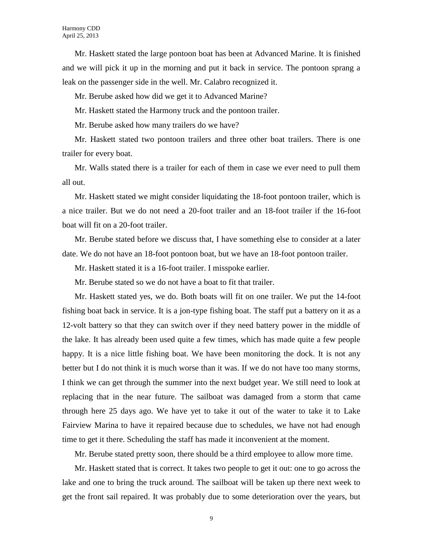Mr. Haskett stated the large pontoon boat has been at Advanced Marine. It is finished and we will pick it up in the morning and put it back in service. The pontoon sprang a leak on the passenger side in the well. Mr. Calabro recognized it.

Mr. Berube asked how did we get it to Advanced Marine?

Mr. Haskett stated the Harmony truck and the pontoon trailer.

Mr. Berube asked how many trailers do we have?

Mr. Haskett stated two pontoon trailers and three other boat trailers. There is one trailer for every boat.

Mr. Walls stated there is a trailer for each of them in case we ever need to pull them all out.

Mr. Haskett stated we might consider liquidating the 18-foot pontoon trailer, which is a nice trailer. But we do not need a 20-foot trailer and an 18-foot trailer if the 16-foot boat will fit on a 20-foot trailer.

Mr. Berube stated before we discuss that, I have something else to consider at a later date. We do not have an 18-foot pontoon boat, but we have an 18-foot pontoon trailer.

Mr. Haskett stated it is a 16-foot trailer. I misspoke earlier.

Mr. Berube stated so we do not have a boat to fit that trailer.

Mr. Haskett stated yes, we do. Both boats will fit on one trailer. We put the 14-foot fishing boat back in service. It is a jon-type fishing boat. The staff put a battery on it as a 12-volt battery so that they can switch over if they need battery power in the middle of the lake. It has already been used quite a few times, which has made quite a few people happy. It is a nice little fishing boat. We have been monitoring the dock. It is not any better but I do not think it is much worse than it was. If we do not have too many storms, I think we can get through the summer into the next budget year. We still need to look at replacing that in the near future. The sailboat was damaged from a storm that came through here 25 days ago. We have yet to take it out of the water to take it to Lake Fairview Marina to have it repaired because due to schedules, we have not had enough time to get it there. Scheduling the staff has made it inconvenient at the moment.

Mr. Berube stated pretty soon, there should be a third employee to allow more time.

Mr. Haskett stated that is correct. It takes two people to get it out: one to go across the lake and one to bring the truck around. The sailboat will be taken up there next week to get the front sail repaired. It was probably due to some deterioration over the years, but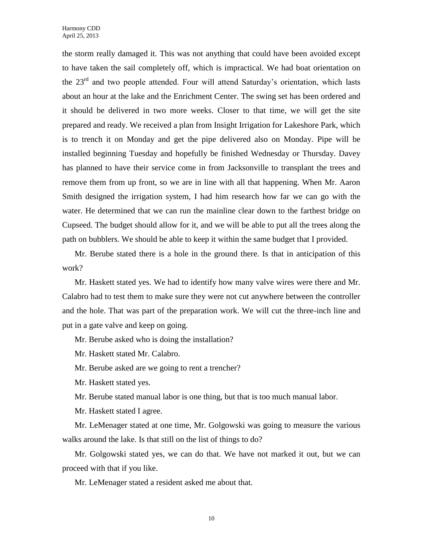the storm really damaged it. This was not anything that could have been avoided except to have taken the sail completely off, which is impractical. We had boat orientation on the 23rd and two people attended. Four will attend Saturday's orientation, which lasts about an hour at the lake and the Enrichment Center. The swing set has been ordered and it should be delivered in two more weeks. Closer to that time, we will get the site prepared and ready. We received a plan from Insight Irrigation for Lakeshore Park, which is to trench it on Monday and get the pipe delivered also on Monday. Pipe will be installed beginning Tuesday and hopefully be finished Wednesday or Thursday. Davey has planned to have their service come in from Jacksonville to transplant the trees and remove them from up front, so we are in line with all that happening. When Mr. Aaron Smith designed the irrigation system, I had him research how far we can go with the water. He determined that we can run the mainline clear down to the farthest bridge on Cupseed. The budget should allow for it, and we will be able to put all the trees along the path on bubblers. We should be able to keep it within the same budget that I provided.

Mr. Berube stated there is a hole in the ground there. Is that in anticipation of this work?

Mr. Haskett stated yes. We had to identify how many valve wires were there and Mr. Calabro had to test them to make sure they were not cut anywhere between the controller and the hole. That was part of the preparation work. We will cut the three-inch line and put in a gate valve and keep on going.

Mr. Berube asked who is doing the installation?

Mr. Haskett stated Mr. Calabro.

Mr. Berube asked are we going to rent a trencher?

Mr. Haskett stated yes.

Mr. Berube stated manual labor is one thing, but that is too much manual labor.

Mr. Haskett stated I agree.

Mr. LeMenager stated at one time, Mr. Golgowski was going to measure the various walks around the lake. Is that still on the list of things to do?

Mr. Golgowski stated yes, we can do that. We have not marked it out, but we can proceed with that if you like.

Mr. LeMenager stated a resident asked me about that.

10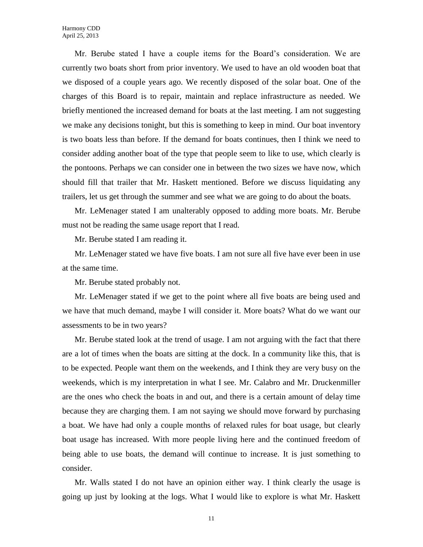Mr. Berube stated I have a couple items for the Board's consideration. We are currently two boats short from prior inventory. We used to have an old wooden boat that we disposed of a couple years ago. We recently disposed of the solar boat. One of the charges of this Board is to repair, maintain and replace infrastructure as needed. We briefly mentioned the increased demand for boats at the last meeting. I am not suggesting we make any decisions tonight, but this is something to keep in mind. Our boat inventory is two boats less than before. If the demand for boats continues, then I think we need to consider adding another boat of the type that people seem to like to use, which clearly is the pontoons. Perhaps we can consider one in between the two sizes we have now, which should fill that trailer that Mr. Haskett mentioned. Before we discuss liquidating any trailers, let us get through the summer and see what we are going to do about the boats.

Mr. LeMenager stated I am unalterably opposed to adding more boats. Mr. Berube must not be reading the same usage report that I read.

Mr. Berube stated I am reading it.

Mr. LeMenager stated we have five boats. I am not sure all five have ever been in use at the same time.

Mr. Berube stated probably not.

Mr. LeMenager stated if we get to the point where all five boats are being used and we have that much demand, maybe I will consider it. More boats? What do we want our assessments to be in two years?

Mr. Berube stated look at the trend of usage. I am not arguing with the fact that there are a lot of times when the boats are sitting at the dock. In a community like this, that is to be expected. People want them on the weekends, and I think they are very busy on the weekends, which is my interpretation in what I see. Mr. Calabro and Mr. Druckenmiller are the ones who check the boats in and out, and there is a certain amount of delay time because they are charging them. I am not saying we should move forward by purchasing a boat. We have had only a couple months of relaxed rules for boat usage, but clearly boat usage has increased. With more people living here and the continued freedom of being able to use boats, the demand will continue to increase. It is just something to consider.

Mr. Walls stated I do not have an opinion either way. I think clearly the usage is going up just by looking at the logs. What I would like to explore is what Mr. Haskett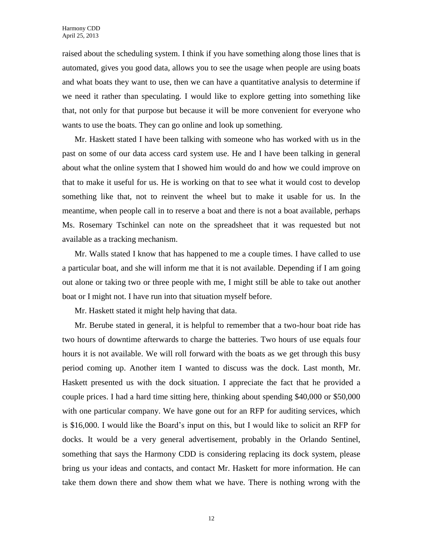raised about the scheduling system. I think if you have something along those lines that is automated, gives you good data, allows you to see the usage when people are using boats and what boats they want to use, then we can have a quantitative analysis to determine if we need it rather than speculating. I would like to explore getting into something like that, not only for that purpose but because it will be more convenient for everyone who wants to use the boats. They can go online and look up something.

Mr. Haskett stated I have been talking with someone who has worked with us in the past on some of our data access card system use. He and I have been talking in general about what the online system that I showed him would do and how we could improve on that to make it useful for us. He is working on that to see what it would cost to develop something like that, not to reinvent the wheel but to make it usable for us. In the meantime, when people call in to reserve a boat and there is not a boat available, perhaps Ms. Rosemary Tschinkel can note on the spreadsheet that it was requested but not available as a tracking mechanism.

Mr. Walls stated I know that has happened to me a couple times. I have called to use a particular boat, and she will inform me that it is not available. Depending if I am going out alone or taking two or three people with me, I might still be able to take out another boat or I might not. I have run into that situation myself before.

Mr. Haskett stated it might help having that data.

Mr. Berube stated in general, it is helpful to remember that a two-hour boat ride has two hours of downtime afterwards to charge the batteries. Two hours of use equals four hours it is not available. We will roll forward with the boats as we get through this busy period coming up. Another item I wanted to discuss was the dock. Last month, Mr. Haskett presented us with the dock situation. I appreciate the fact that he provided a couple prices. I had a hard time sitting here, thinking about spending \$40,000 or \$50,000 with one particular company. We have gone out for an RFP for auditing services, which is \$16,000. I would like the Board's input on this, but I would like to solicit an RFP for docks. It would be a very general advertisement, probably in the Orlando Sentinel, something that says the Harmony CDD is considering replacing its dock system, please bring us your ideas and contacts, and contact Mr. Haskett for more information. He can take them down there and show them what we have. There is nothing wrong with the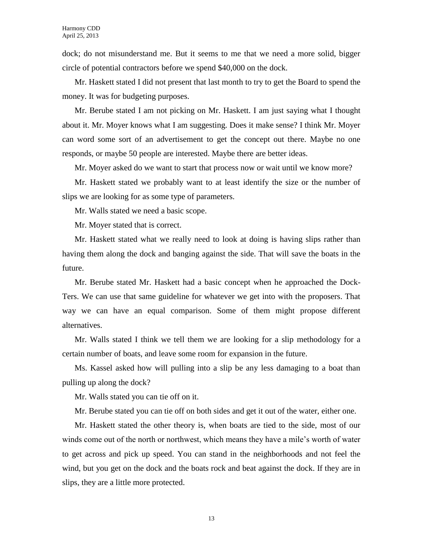dock; do not misunderstand me. But it seems to me that we need a more solid, bigger circle of potential contractors before we spend \$40,000 on the dock.

Mr. Haskett stated I did not present that last month to try to get the Board to spend the money. It was for budgeting purposes.

Mr. Berube stated I am not picking on Mr. Haskett. I am just saying what I thought about it. Mr. Moyer knows what I am suggesting. Does it make sense? I think Mr. Moyer can word some sort of an advertisement to get the concept out there. Maybe no one responds, or maybe 50 people are interested. Maybe there are better ideas.

Mr. Moyer asked do we want to start that process now or wait until we know more?

Mr. Haskett stated we probably want to at least identify the size or the number of slips we are looking for as some type of parameters.

Mr. Walls stated we need a basic scope.

Mr. Moyer stated that is correct.

Mr. Haskett stated what we really need to look at doing is having slips rather than having them along the dock and banging against the side. That will save the boats in the future.

Mr. Berube stated Mr. Haskett had a basic concept when he approached the Dock-Ters. We can use that same guideline for whatever we get into with the proposers. That way we can have an equal comparison. Some of them might propose different alternatives.

Mr. Walls stated I think we tell them we are looking for a slip methodology for a certain number of boats, and leave some room for expansion in the future.

Ms. Kassel asked how will pulling into a slip be any less damaging to a boat than pulling up along the dock?

Mr. Walls stated you can tie off on it.

Mr. Berube stated you can tie off on both sides and get it out of the water, either one.

Mr. Haskett stated the other theory is, when boats are tied to the side, most of our winds come out of the north or northwest, which means they have a mile's worth of water to get across and pick up speed. You can stand in the neighborhoods and not feel the wind, but you get on the dock and the boats rock and beat against the dock. If they are in slips, they are a little more protected.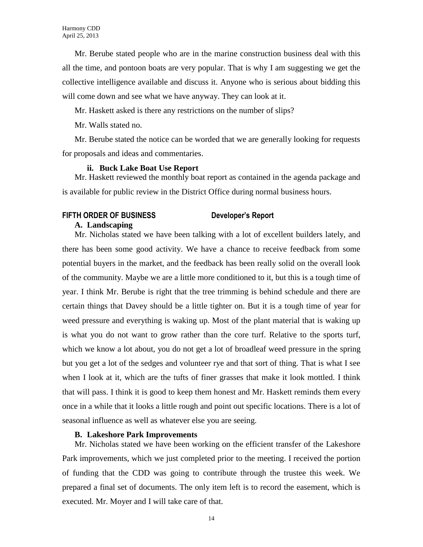Mr. Berube stated people who are in the marine construction business deal with this all the time, and pontoon boats are very popular. That is why I am suggesting we get the collective intelligence available and discuss it. Anyone who is serious about bidding this will come down and see what we have anyway. They can look at it.

Mr. Haskett asked is there any restrictions on the number of slips?

Mr. Walls stated no.

Mr. Berube stated the notice can be worded that we are generally looking for requests for proposals and ideas and commentaries.

### **ii. Buck Lake Boat Use Report**

Mr. Haskett reviewed the monthly boat report as contained in the agenda package and is available for public review in the District Office during normal business hours.

# **FIFTH ORDER OF BUSINESS Developer's Report**

## **A. Landscaping**

Mr. Nicholas stated we have been talking with a lot of excellent builders lately, and there has been some good activity. We have a chance to receive feedback from some potential buyers in the market, and the feedback has been really solid on the overall look of the community. Maybe we are a little more conditioned to it, but this is a tough time of year. I think Mr. Berube is right that the tree trimming is behind schedule and there are certain things that Davey should be a little tighter on. But it is a tough time of year for weed pressure and everything is waking up. Most of the plant material that is waking up is what you do not want to grow rather than the core turf. Relative to the sports turf, which we know a lot about, you do not get a lot of broadleaf weed pressure in the spring but you get a lot of the sedges and volunteer rye and that sort of thing. That is what I see when I look at it, which are the tufts of finer grasses that make it look mottled. I think that will pass. I think it is good to keep them honest and Mr. Haskett reminds them every once in a while that it looks a little rough and point out specific locations. There is a lot of seasonal influence as well as whatever else you are seeing.

# **B. Lakeshore Park Improvements**

Mr. Nicholas stated we have been working on the efficient transfer of the Lakeshore Park improvements, which we just completed prior to the meeting. I received the portion of funding that the CDD was going to contribute through the trustee this week. We prepared a final set of documents. The only item left is to record the easement, which is executed. Mr. Moyer and I will take care of that.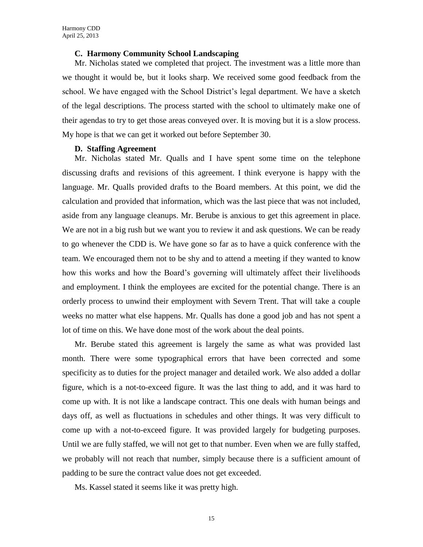#### **C. Harmony Community School Landscaping**

Mr. Nicholas stated we completed that project. The investment was a little more than we thought it would be, but it looks sharp. We received some good feedback from the school. We have engaged with the School District's legal department. We have a sketch of the legal descriptions. The process started with the school to ultimately make one of their agendas to try to get those areas conveyed over. It is moving but it is a slow process. My hope is that we can get it worked out before September 30.

#### **D. Staffing Agreement**

Mr. Nicholas stated Mr. Qualls and I have spent some time on the telephone discussing drafts and revisions of this agreement. I think everyone is happy with the language. Mr. Qualls provided drafts to the Board members. At this point, we did the calculation and provided that information, which was the last piece that was not included, aside from any language cleanups. Mr. Berube is anxious to get this agreement in place. We are not in a big rush but we want you to review it and ask questions. We can be ready to go whenever the CDD is. We have gone so far as to have a quick conference with the team. We encouraged them not to be shy and to attend a meeting if they wanted to know how this works and how the Board's governing will ultimately affect their livelihoods and employment. I think the employees are excited for the potential change. There is an orderly process to unwind their employment with Severn Trent. That will take a couple weeks no matter what else happens. Mr. Qualls has done a good job and has not spent a lot of time on this. We have done most of the work about the deal points.

Mr. Berube stated this agreement is largely the same as what was provided last month. There were some typographical errors that have been corrected and some specificity as to duties for the project manager and detailed work. We also added a dollar figure, which is a not-to-exceed figure. It was the last thing to add, and it was hard to come up with. It is not like a landscape contract. This one deals with human beings and days off, as well as fluctuations in schedules and other things. It was very difficult to come up with a not-to-exceed figure. It was provided largely for budgeting purposes. Until we are fully staffed, we will not get to that number. Even when we are fully staffed, we probably will not reach that number, simply because there is a sufficient amount of padding to be sure the contract value does not get exceeded.

Ms. Kassel stated it seems like it was pretty high.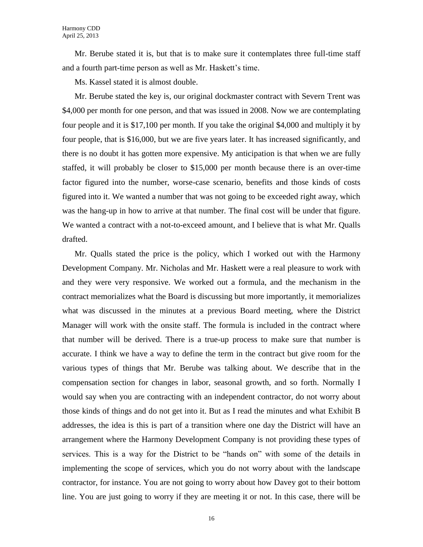Mr. Berube stated it is, but that is to make sure it contemplates three full-time staff and a fourth part-time person as well as Mr. Haskett's time.

Ms. Kassel stated it is almost double.

Mr. Berube stated the key is, our original dockmaster contract with Severn Trent was \$4,000 per month for one person, and that was issued in 2008. Now we are contemplating four people and it is \$17,100 per month. If you take the original \$4,000 and multiply it by four people, that is \$16,000, but we are five years later. It has increased significantly, and there is no doubt it has gotten more expensive. My anticipation is that when we are fully staffed, it will probably be closer to \$15,000 per month because there is an over-time factor figured into the number, worse-case scenario, benefits and those kinds of costs figured into it. We wanted a number that was not going to be exceeded right away, which was the hang-up in how to arrive at that number. The final cost will be under that figure. We wanted a contract with a not-to-exceed amount, and I believe that is what Mr. Qualls drafted.

Mr. Qualls stated the price is the policy, which I worked out with the Harmony Development Company. Mr. Nicholas and Mr. Haskett were a real pleasure to work with and they were very responsive. We worked out a formula, and the mechanism in the contract memorializes what the Board is discussing but more importantly, it memorializes what was discussed in the minutes at a previous Board meeting, where the District Manager will work with the onsite staff. The formula is included in the contract where that number will be derived. There is a true-up process to make sure that number is accurate. I think we have a way to define the term in the contract but give room for the various types of things that Mr. Berube was talking about. We describe that in the compensation section for changes in labor, seasonal growth, and so forth. Normally I would say when you are contracting with an independent contractor, do not worry about those kinds of things and do not get into it. But as I read the minutes and what Exhibit B addresses, the idea is this is part of a transition where one day the District will have an arrangement where the Harmony Development Company is not providing these types of services. This is a way for the District to be "hands on" with some of the details in implementing the scope of services, which you do not worry about with the landscape contractor, for instance. You are not going to worry about how Davey got to their bottom line. You are just going to worry if they are meeting it or not. In this case, there will be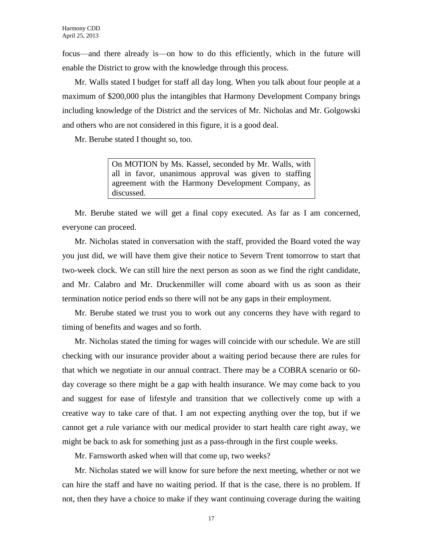focus—and there already is—on how to do this efficiently, which in the future will enable the District to grow with the knowledge through this process.

Mr. Walls stated I budget for staff all day long. When you talk about four people at a maximum of \$200,000 plus the intangibles that Harmony Development Company brings including knowledge of the District and the services of Mr. Nicholas and Mr. Golgowski and others who are not considered in this figure, it is a good deal.

Mr. Berube stated I thought so, too.

On MOTION by Ms. Kassel, seconded by Mr. Walls, with all in favor, unanimous approval was given to staffing agreement with the Harmony Development Company, as discussed.

Mr. Berube stated we will get a final copy executed. As far as I am concerned, everyone can proceed.

Mr. Nicholas stated in conversation with the staff, provided the Board voted the way you just did, we will have them give their notice to Severn Trent tomorrow to start that two-week clock. We can still hire the next person as soon as we find the right candidate, and Mr. Calabro and Mr. Druckenmiller will come aboard with us as soon as their termination notice period ends so there will not be any gaps in their employment.

Mr. Berube stated we trust you to work out any concerns they have with regard to timing of benefits and wages and so forth.

Mr. Nicholas stated the timing for wages will coincide with our schedule. We are still checking with our insurance provider about a waiting period because there are rules for that which we negotiate in our annual contract. There may be a COBRA scenario or 60 day coverage so there might be a gap with health insurance. We may come back to you and suggest for ease of lifestyle and transition that we collectively come up with a creative way to take care of that. I am not expecting anything over the top, but if we cannot get a rule variance with our medical provider to start health care right away, we might be back to ask for something just as a pass-through in the first couple weeks.

Mr. Farnsworth asked when will that come up, two weeks?

Mr. Nicholas stated we will know for sure before the next meeting, whether or not we can hire the staff and have no waiting period. If that is the case, there is no problem. If not, then they have a choice to make if they want continuing coverage during the waiting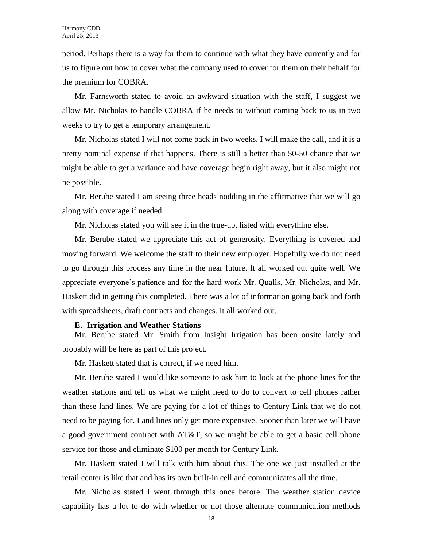period. Perhaps there is a way for them to continue with what they have currently and for us to figure out how to cover what the company used to cover for them on their behalf for the premium for COBRA.

Mr. Farnsworth stated to avoid an awkward situation with the staff, I suggest we allow Mr. Nicholas to handle COBRA if he needs to without coming back to us in two weeks to try to get a temporary arrangement.

Mr. Nicholas stated I will not come back in two weeks. I will make the call, and it is a pretty nominal expense if that happens. There is still a better than 50-50 chance that we might be able to get a variance and have coverage begin right away, but it also might not be possible.

Mr. Berube stated I am seeing three heads nodding in the affirmative that we will go along with coverage if needed.

Mr. Nicholas stated you will see it in the true-up, listed with everything else.

Mr. Berube stated we appreciate this act of generosity. Everything is covered and moving forward. We welcome the staff to their new employer. Hopefully we do not need to go through this process any time in the near future. It all worked out quite well. We appreciate everyone's patience and for the hard work Mr. Qualls, Mr. Nicholas, and Mr. Haskett did in getting this completed. There was a lot of information going back and forth with spreadsheets, draft contracts and changes. It all worked out.

#### **E. Irrigation and Weather Stations**

Mr. Berube stated Mr. Smith from Insight Irrigation has been onsite lately and probably will be here as part of this project.

Mr. Haskett stated that is correct, if we need him.

Mr. Berube stated I would like someone to ask him to look at the phone lines for the weather stations and tell us what we might need to do to convert to cell phones rather than these land lines. We are paying for a lot of things to Century Link that we do not need to be paying for. Land lines only get more expensive. Sooner than later we will have a good government contract with AT&T, so we might be able to get a basic cell phone service for those and eliminate \$100 per month for Century Link.

Mr. Haskett stated I will talk with him about this. The one we just installed at the retail center is like that and has its own built-in cell and communicates all the time.

Mr. Nicholas stated I went through this once before. The weather station device capability has a lot to do with whether or not those alternate communication methods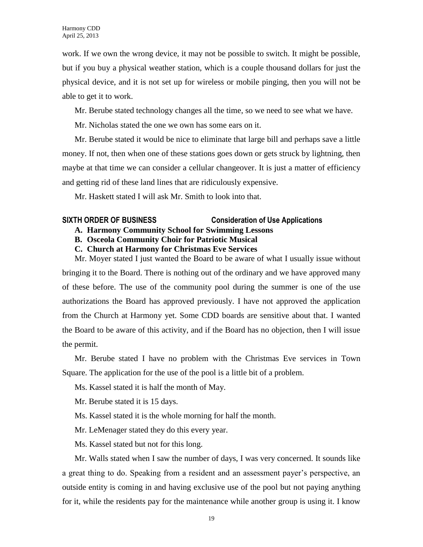work. If we own the wrong device, it may not be possible to switch. It might be possible, but if you buy a physical weather station, which is a couple thousand dollars for just the physical device, and it is not set up for wireless or mobile pinging, then you will not be able to get it to work.

Mr. Berube stated technology changes all the time, so we need to see what we have.

Mr. Nicholas stated the one we own has some ears on it.

Mr. Berube stated it would be nice to eliminate that large bill and perhaps save a little money. If not, then when one of these stations goes down or gets struck by lightning, then maybe at that time we can consider a cellular changeover. It is just a matter of efficiency and getting rid of these land lines that are ridiculously expensive.

Mr. Haskett stated I will ask Mr. Smith to look into that.

# **SIXTH ORDER OF BUSINESS Consideration of Use Applications**

- **A. Harmony Community School for Swimming Lessons**
- **B. Osceola Community Choir for Patriotic Musical**

**C. Church at Harmony for Christmas Eve Services** 

Mr. Moyer stated I just wanted the Board to be aware of what I usually issue without

bringing it to the Board. There is nothing out of the ordinary and we have approved many of these before. The use of the community pool during the summer is one of the use authorizations the Board has approved previously. I have not approved the application from the Church at Harmony yet. Some CDD boards are sensitive about that. I wanted the Board to be aware of this activity, and if the Board has no objection, then I will issue the permit.

Mr. Berube stated I have no problem with the Christmas Eve services in Town Square. The application for the use of the pool is a little bit of a problem.

Ms. Kassel stated it is half the month of May.

Mr. Berube stated it is 15 days.

- Ms. Kassel stated it is the whole morning for half the month.
- Mr. LeMenager stated they do this every year.
- Ms. Kassel stated but not for this long.

Mr. Walls stated when I saw the number of days, I was very concerned. It sounds like a great thing to do. Speaking from a resident and an assessment payer's perspective, an outside entity is coming in and having exclusive use of the pool but not paying anything for it, while the residents pay for the maintenance while another group is using it. I know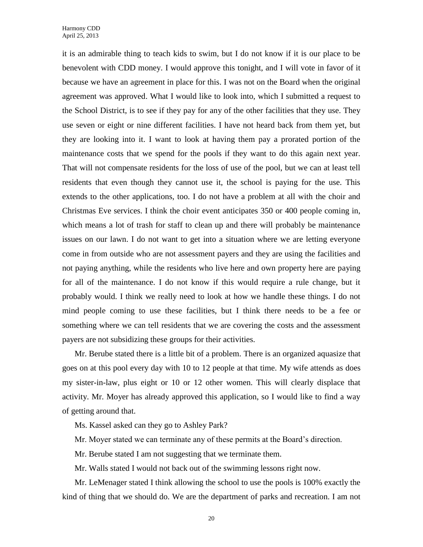it is an admirable thing to teach kids to swim, but I do not know if it is our place to be benevolent with CDD money. I would approve this tonight, and I will vote in favor of it because we have an agreement in place for this. I was not on the Board when the original agreement was approved. What I would like to look into, which I submitted a request to the School District, is to see if they pay for any of the other facilities that they use. They use seven or eight or nine different facilities. I have not heard back from them yet, but they are looking into it. I want to look at having them pay a prorated portion of the maintenance costs that we spend for the pools if they want to do this again next year. That will not compensate residents for the loss of use of the pool, but we can at least tell residents that even though they cannot use it, the school is paying for the use. This extends to the other applications, too. I do not have a problem at all with the choir and Christmas Eve services. I think the choir event anticipates 350 or 400 people coming in, which means a lot of trash for staff to clean up and there will probably be maintenance issues on our lawn. I do not want to get into a situation where we are letting everyone come in from outside who are not assessment payers and they are using the facilities and not paying anything, while the residents who live here and own property here are paying for all of the maintenance. I do not know if this would require a rule change, but it probably would. I think we really need to look at how we handle these things. I do not mind people coming to use these facilities, but I think there needs to be a fee or something where we can tell residents that we are covering the costs and the assessment payers are not subsidizing these groups for their activities.

Mr. Berube stated there is a little bit of a problem. There is an organized aquasize that goes on at this pool every day with 10 to 12 people at that time. My wife attends as does my sister-in-law, plus eight or 10 or 12 other women. This will clearly displace that activity. Mr. Moyer has already approved this application, so I would like to find a way of getting around that.

Ms. Kassel asked can they go to Ashley Park?

- Mr. Moyer stated we can terminate any of these permits at the Board's direction.
- Mr. Berube stated I am not suggesting that we terminate them.

Mr. Walls stated I would not back out of the swimming lessons right now.

Mr. LeMenager stated I think allowing the school to use the pools is 100% exactly the kind of thing that we should do. We are the department of parks and recreation. I am not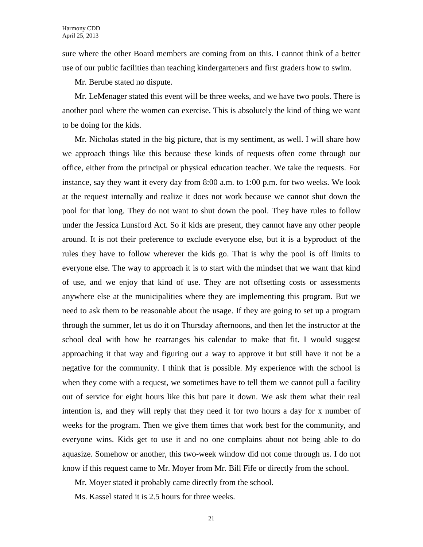sure where the other Board members are coming from on this. I cannot think of a better use of our public facilities than teaching kindergarteners and first graders how to swim.

Mr. Berube stated no dispute.

Mr. LeMenager stated this event will be three weeks, and we have two pools. There is another pool where the women can exercise. This is absolutely the kind of thing we want to be doing for the kids.

Mr. Nicholas stated in the big picture, that is my sentiment, as well. I will share how we approach things like this because these kinds of requests often come through our office, either from the principal or physical education teacher. We take the requests. For instance, say they want it every day from 8:00 a.m. to 1:00 p.m. for two weeks. We look at the request internally and realize it does not work because we cannot shut down the pool for that long. They do not want to shut down the pool. They have rules to follow under the Jessica Lunsford Act. So if kids are present, they cannot have any other people around. It is not their preference to exclude everyone else, but it is a byproduct of the rules they have to follow wherever the kids go. That is why the pool is off limits to everyone else. The way to approach it is to start with the mindset that we want that kind of use, and we enjoy that kind of use. They are not offsetting costs or assessments anywhere else at the municipalities where they are implementing this program. But we need to ask them to be reasonable about the usage. If they are going to set up a program through the summer, let us do it on Thursday afternoons, and then let the instructor at the school deal with how he rearranges his calendar to make that fit. I would suggest approaching it that way and figuring out a way to approve it but still have it not be a negative for the community. I think that is possible. My experience with the school is when they come with a request, we sometimes have to tell them we cannot pull a facility out of service for eight hours like this but pare it down. We ask them what their real intention is, and they will reply that they need it for two hours a day for x number of weeks for the program. Then we give them times that work best for the community, and everyone wins. Kids get to use it and no one complains about not being able to do aquasize. Somehow or another, this two-week window did not come through us. I do not know if this request came to Mr. Moyer from Mr. Bill Fife or directly from the school.

Mr. Moyer stated it probably came directly from the school.

Ms. Kassel stated it is 2.5 hours for three weeks.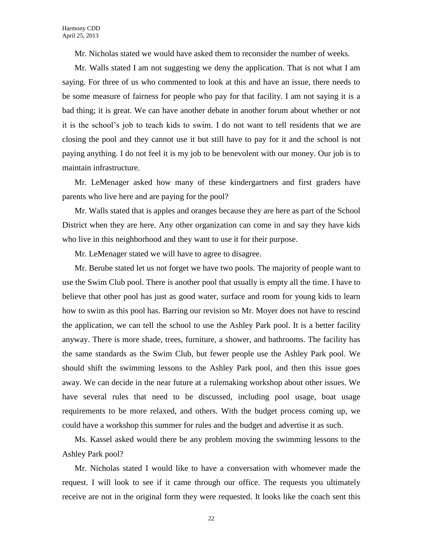Mr. Nicholas stated we would have asked them to reconsider the number of weeks.

Mr. Walls stated I am not suggesting we deny the application. That is not what I am saying. For three of us who commented to look at this and have an issue, there needs to be some measure of fairness for people who pay for that facility. I am not saying it is a bad thing; it is great. We can have another debate in another forum about whether or not it is the school's job to teach kids to swim. I do not want to tell residents that we are closing the pool and they cannot use it but still have to pay for it and the school is not paying anything. I do not feel it is my job to be benevolent with our money. Our job is to maintain infrastructure.

Mr. LeMenager asked how many of these kindergartners and first graders have parents who live here and are paying for the pool?

Mr. Walls stated that is apples and oranges because they are here as part of the School District when they are here. Any other organization can come in and say they have kids who live in this neighborhood and they want to use it for their purpose.

Mr. LeMenager stated we will have to agree to disagree.

Mr. Berube stated let us not forget we have two pools. The majority of people want to use the Swim Club pool. There is another pool that usually is empty all the time. I have to believe that other pool has just as good water, surface and room for young kids to learn how to swim as this pool has. Barring our revision so Mr. Moyer does not have to rescind the application, we can tell the school to use the Ashley Park pool. It is a better facility anyway. There is more shade, trees, furniture, a shower, and bathrooms. The facility has the same standards as the Swim Club, but fewer people use the Ashley Park pool. We should shift the swimming lessons to the Ashley Park pool, and then this issue goes away. We can decide in the near future at a rulemaking workshop about other issues. We have several rules that need to be discussed, including pool usage, boat usage requirements to be more relaxed, and others. With the budget process coming up, we could have a workshop this summer for rules and the budget and advertise it as such.

Ms. Kassel asked would there be any problem moving the swimming lessons to the Ashley Park pool?

Mr. Nicholas stated I would like to have a conversation with whomever made the request. I will look to see if it came through our office. The requests you ultimately receive are not in the original form they were requested. It looks like the coach sent this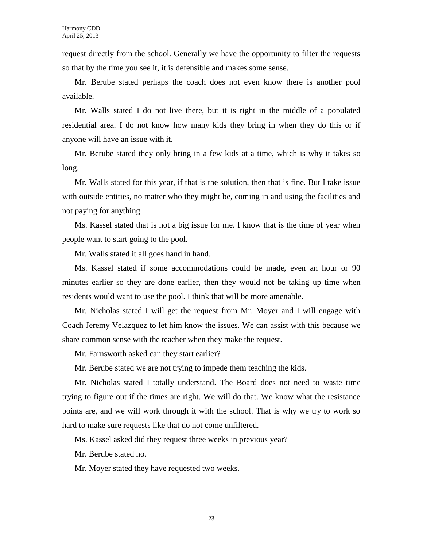request directly from the school. Generally we have the opportunity to filter the requests so that by the time you see it, it is defensible and makes some sense.

Mr. Berube stated perhaps the coach does not even know there is another pool available.

Mr. Walls stated I do not live there, but it is right in the middle of a populated residential area. I do not know how many kids they bring in when they do this or if anyone will have an issue with it.

Mr. Berube stated they only bring in a few kids at a time, which is why it takes so long.

Mr. Walls stated for this year, if that is the solution, then that is fine. But I take issue with outside entities, no matter who they might be, coming in and using the facilities and not paying for anything.

Ms. Kassel stated that is not a big issue for me. I know that is the time of year when people want to start going to the pool.

Mr. Walls stated it all goes hand in hand.

Ms. Kassel stated if some accommodations could be made, even an hour or 90 minutes earlier so they are done earlier, then they would not be taking up time when residents would want to use the pool. I think that will be more amenable.

Mr. Nicholas stated I will get the request from Mr. Moyer and I will engage with Coach Jeremy Velazquez to let him know the issues. We can assist with this because we share common sense with the teacher when they make the request.

Mr. Farnsworth asked can they start earlier?

Mr. Berube stated we are not trying to impede them teaching the kids.

Mr. Nicholas stated I totally understand. The Board does not need to waste time trying to figure out if the times are right. We will do that. We know what the resistance points are, and we will work through it with the school. That is why we try to work so hard to make sure requests like that do not come unfiltered.

Ms. Kassel asked did they request three weeks in previous year?

Mr. Berube stated no.

Mr. Moyer stated they have requested two weeks.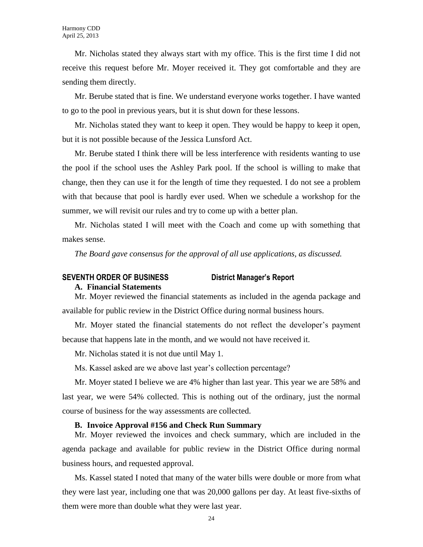Mr. Nicholas stated they always start with my office. This is the first time I did not receive this request before Mr. Moyer received it. They got comfortable and they are sending them directly.

Mr. Berube stated that is fine. We understand everyone works together. I have wanted to go to the pool in previous years, but it is shut down for these lessons.

Mr. Nicholas stated they want to keep it open. They would be happy to keep it open, but it is not possible because of the Jessica Lunsford Act.

Mr. Berube stated I think there will be less interference with residents wanting to use the pool if the school uses the Ashley Park pool. If the school is willing to make that change, then they can use it for the length of time they requested. I do not see a problem with that because that pool is hardly ever used. When we schedule a workshop for the summer, we will revisit our rules and try to come up with a better plan.

Mr. Nicholas stated I will meet with the Coach and come up with something that makes sense.

*The Board gave consensus for the approval of all use applications, as discussed.*

# **SEVENTH ORDER OF BUSINESS District Manager's Report**

#### **A. Financial Statements**

Mr. Moyer reviewed the financial statements as included in the agenda package and available for public review in the District Office during normal business hours.

Mr. Moyer stated the financial statements do not reflect the developer's payment because that happens late in the month, and we would not have received it.

Mr. Nicholas stated it is not due until May 1.

Ms. Kassel asked are we above last year's collection percentage?

Mr. Moyer stated I believe we are 4% higher than last year. This year we are 58% and last year, we were 54% collected. This is nothing out of the ordinary, just the normal course of business for the way assessments are collected.

#### **B. Invoice Approval #156 and Check Run Summary**

Mr. Moyer reviewed the invoices and check summary, which are included in the agenda package and available for public review in the District Office during normal business hours, and requested approval.

Ms. Kassel stated I noted that many of the water bills were double or more from what they were last year, including one that was 20,000 gallons per day. At least five-sixths of them were more than double what they were last year.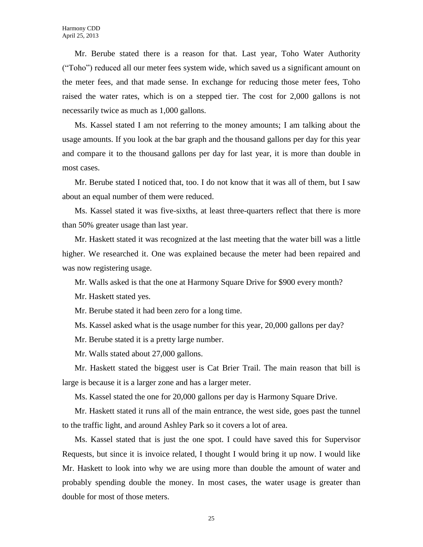Mr. Berube stated there is a reason for that. Last year, Toho Water Authority ("Toho") reduced all our meter fees system wide, which saved us a significant amount on the meter fees, and that made sense. In exchange for reducing those meter fees, Toho raised the water rates, which is on a stepped tier. The cost for 2,000 gallons is not necessarily twice as much as 1,000 gallons.

Ms. Kassel stated I am not referring to the money amounts; I am talking about the usage amounts. If you look at the bar graph and the thousand gallons per day for this year and compare it to the thousand gallons per day for last year, it is more than double in most cases.

Mr. Berube stated I noticed that, too. I do not know that it was all of them, but I saw about an equal number of them were reduced.

Ms. Kassel stated it was five-sixths, at least three-quarters reflect that there is more than 50% greater usage than last year.

Mr. Haskett stated it was recognized at the last meeting that the water bill was a little higher. We researched it. One was explained because the meter had been repaired and was now registering usage.

Mr. Walls asked is that the one at Harmony Square Drive for \$900 every month?

Mr. Haskett stated yes.

Mr. Berube stated it had been zero for a long time.

Ms. Kassel asked what is the usage number for this year, 20,000 gallons per day?

Mr. Berube stated it is a pretty large number.

Mr. Walls stated about 27,000 gallons.

Mr. Haskett stated the biggest user is Cat Brier Trail. The main reason that bill is large is because it is a larger zone and has a larger meter.

Ms. Kassel stated the one for 20,000 gallons per day is Harmony Square Drive.

Mr. Haskett stated it runs all of the main entrance, the west side, goes past the tunnel to the traffic light, and around Ashley Park so it covers a lot of area.

Ms. Kassel stated that is just the one spot. I could have saved this for Supervisor Requests, but since it is invoice related, I thought I would bring it up now. I would like Mr. Haskett to look into why we are using more than double the amount of water and probably spending double the money. In most cases, the water usage is greater than double for most of those meters.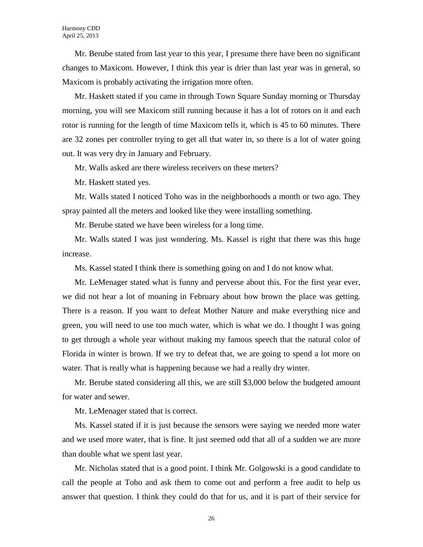Mr. Berube stated from last year to this year, I presume there have been no significant changes to Maxicom. However, I think this year is drier than last year was in general, so Maxicom is probably activating the irrigation more often.

Mr. Haskett stated if you came in through Town Square Sunday morning or Thursday morning, you will see Maxicom still running because it has a lot of rotors on it and each rotor is running for the length of time Maxicom tells it, which is 45 to 60 minutes. There are 32 zones per controller trying to get all that water in, so there is a lot of water going out. It was very dry in January and February.

Mr. Walls asked are there wireless receivers on these meters?

Mr. Haskett stated yes.

Mr. Walls stated I noticed Toho was in the neighborhoods a month or two ago. They spray painted all the meters and looked like they were installing something.

Mr. Berube stated we have been wireless for a long time.

Mr. Walls stated I was just wondering. Ms. Kassel is right that there was this huge increase.

Ms. Kassel stated I think there is something going on and I do not know what.

Mr. LeMenager stated what is funny and perverse about this. For the first year ever, we did not hear a lot of moaning in February about how brown the place was getting. There is a reason. If you want to defeat Mother Nature and make everything nice and green, you will need to use too much water, which is what we do. I thought I was going to get through a whole year without making my famous speech that the natural color of Florida in winter is brown. If we try to defeat that, we are going to spend a lot more on water. That is really what is happening because we had a really dry winter.

Mr. Berube stated considering all this, we are still \$3,000 below the budgeted amount for water and sewer.

Mr. LeMenager stated that is correct.

Ms. Kassel stated if it is just because the sensors were saying we needed more water and we used more water, that is fine. It just seemed odd that all of a sudden we are more than double what we spent last year.

Mr. Nicholas stated that is a good point. I think Mr. Golgowski is a good candidate to call the people at Toho and ask them to come out and perform a free audit to help us answer that question. I think they could do that for us, and it is part of their service for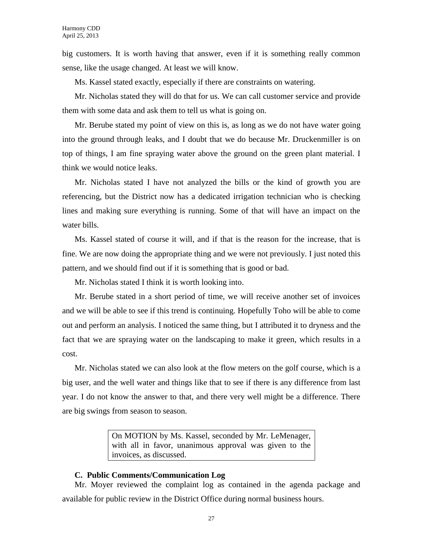big customers. It is worth having that answer, even if it is something really common sense, like the usage changed. At least we will know.

Ms. Kassel stated exactly, especially if there are constraints on watering.

Mr. Nicholas stated they will do that for us. We can call customer service and provide them with some data and ask them to tell us what is going on.

Mr. Berube stated my point of view on this is, as long as we do not have water going into the ground through leaks, and I doubt that we do because Mr. Druckenmiller is on top of things, I am fine spraying water above the ground on the green plant material. I think we would notice leaks.

Mr. Nicholas stated I have not analyzed the bills or the kind of growth you are referencing, but the District now has a dedicated irrigation technician who is checking lines and making sure everything is running. Some of that will have an impact on the water bills.

Ms. Kassel stated of course it will, and if that is the reason for the increase, that is fine. We are now doing the appropriate thing and we were not previously. I just noted this pattern, and we should find out if it is something that is good or bad.

Mr. Nicholas stated I think it is worth looking into.

Mr. Berube stated in a short period of time, we will receive another set of invoices and we will be able to see if this trend is continuing. Hopefully Toho will be able to come out and perform an analysis. I noticed the same thing, but I attributed it to dryness and the fact that we are spraying water on the landscaping to make it green, which results in a cost.

Mr. Nicholas stated we can also look at the flow meters on the golf course, which is a big user, and the well water and things like that to see if there is any difference from last year. I do not know the answer to that, and there very well might be a difference. There are big swings from season to season.

> On MOTION by Ms. Kassel, seconded by Mr. LeMenager, with all in favor, unanimous approval was given to the invoices, as discussed.

### **C. Public Comments/Communication Log**

Mr. Moyer reviewed the complaint log as contained in the agenda package and available for public review in the District Office during normal business hours.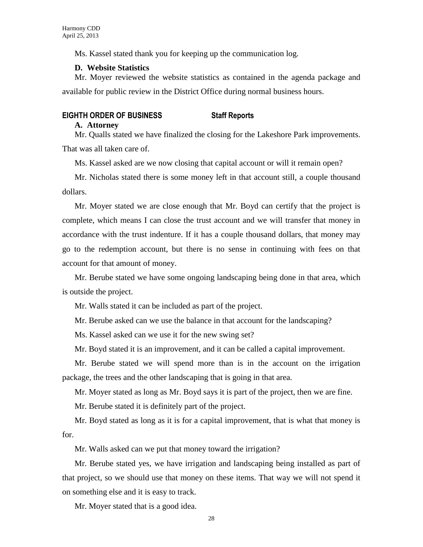Ms. Kassel stated thank you for keeping up the communication log.

### **D. Website Statistics**

Mr. Moyer reviewed the website statistics as contained in the agenda package and available for public review in the District Office during normal business hours.

### **EIGHTH ORDER OF BUSINESS Staff Reports**

#### **A. Attorney**

Mr. Qualls stated we have finalized the closing for the Lakeshore Park improvements. That was all taken care of.

Ms. Kassel asked are we now closing that capital account or will it remain open?

Mr. Nicholas stated there is some money left in that account still, a couple thousand dollars.

Mr. Moyer stated we are close enough that Mr. Boyd can certify that the project is complete, which means I can close the trust account and we will transfer that money in accordance with the trust indenture. If it has a couple thousand dollars, that money may go to the redemption account, but there is no sense in continuing with fees on that account for that amount of money.

Mr. Berube stated we have some ongoing landscaping being done in that area, which is outside the project.

Mr. Walls stated it can be included as part of the project.

Mr. Berube asked can we use the balance in that account for the landscaping?

Ms. Kassel asked can we use it for the new swing set?

Mr. Boyd stated it is an improvement, and it can be called a capital improvement.

Mr. Berube stated we will spend more than is in the account on the irrigation package, the trees and the other landscaping that is going in that area.

Mr. Moyer stated as long as Mr. Boyd says it is part of the project, then we are fine.

Mr. Berube stated it is definitely part of the project.

Mr. Boyd stated as long as it is for a capital improvement, that is what that money is for.

Mr. Walls asked can we put that money toward the irrigation?

Mr. Berube stated yes, we have irrigation and landscaping being installed as part of that project, so we should use that money on these items. That way we will not spend it on something else and it is easy to track.

Mr. Moyer stated that is a good idea.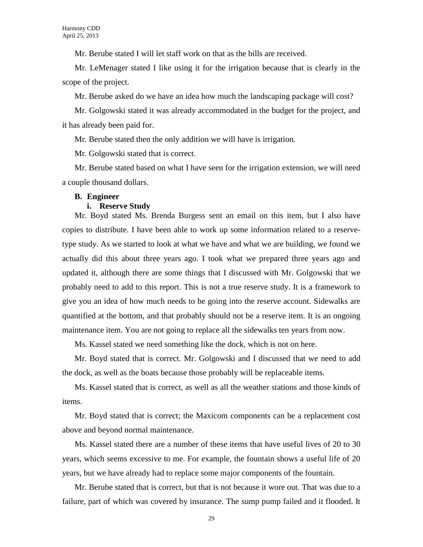Mr. Berube stated I will let staff work on that as the bills are received.

Mr. LeMenager stated I like using it for the irrigation because that is clearly in the scope of the project.

Mr. Berube asked do we have an idea how much the landscaping package will cost?

Mr. Golgowski stated it was already accommodated in the budget for the project, and it has already been paid for.

Mr. Berube stated then the only addition we will have is irrigation.

Mr. Golgowski stated that is correct.

Mr. Berube stated based on what I have seen for the irrigation extension, we will need a couple thousand dollars.

#### **B. Engineer**

#### **i. Reserve Study**

Mr. Boyd stated Ms. Brenda Burgess sent an email on this item, but I also have copies to distribute. I have been able to work up some information related to a reservetype study. As we started to look at what we have and what we are building, we found we actually did this about three years ago. I took what we prepared three years ago and updated it, although there are some things that I discussed with Mr. Golgowski that we probably need to add to this report. This is not a true reserve study. It is a framework to give you an idea of how much needs to be going into the reserve account. Sidewalks are quantified at the bottom, and that probably should not be a reserve item. It is an ongoing maintenance item. You are not going to replace all the sidewalks ten years from now.

Ms. Kassel stated we need something like the dock, which is not on here.

Mr. Boyd stated that is correct. Mr. Golgowski and I discussed that we need to add the dock, as well as the boats because those probably will be replaceable items.

Ms. Kassel stated that is correct, as well as all the weather stations and those kinds of items.

Mr. Boyd stated that is correct; the Maxicom components can be a replacement cost above and beyond normal maintenance.

Ms. Kassel stated there are a number of these items that have useful lives of 20 to 30 years, which seems excessive to me. For example, the fountain shows a useful life of 20 years, but we have already had to replace some major components of the fountain.

Mr. Berube stated that is correct, but that is not because it wore out. That was due to a failure, part of which was covered by insurance. The sump pump failed and it flooded. It

29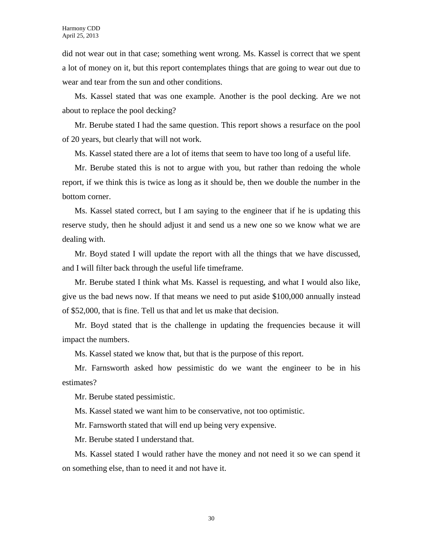did not wear out in that case; something went wrong. Ms. Kassel is correct that we spent a lot of money on it, but this report contemplates things that are going to wear out due to wear and tear from the sun and other conditions.

Ms. Kassel stated that was one example. Another is the pool decking. Are we not about to replace the pool decking?

Mr. Berube stated I had the same question. This report shows a resurface on the pool of 20 years, but clearly that will not work.

Ms. Kassel stated there are a lot of items that seem to have too long of a useful life.

Mr. Berube stated this is not to argue with you, but rather than redoing the whole report, if we think this is twice as long as it should be, then we double the number in the bottom corner.

Ms. Kassel stated correct, but I am saying to the engineer that if he is updating this reserve study, then he should adjust it and send us a new one so we know what we are dealing with.

Mr. Boyd stated I will update the report with all the things that we have discussed, and I will filter back through the useful life timeframe.

Mr. Berube stated I think what Ms. Kassel is requesting, and what I would also like, give us the bad news now. If that means we need to put aside \$100,000 annually instead of \$52,000, that is fine. Tell us that and let us make that decision.

Mr. Boyd stated that is the challenge in updating the frequencies because it will impact the numbers.

Ms. Kassel stated we know that, but that is the purpose of this report.

Mr. Farnsworth asked how pessimistic do we want the engineer to be in his estimates?

Mr. Berube stated pessimistic.

Ms. Kassel stated we want him to be conservative, not too optimistic.

Mr. Farnsworth stated that will end up being very expensive.

Mr. Berube stated I understand that.

Ms. Kassel stated I would rather have the money and not need it so we can spend it on something else, than to need it and not have it.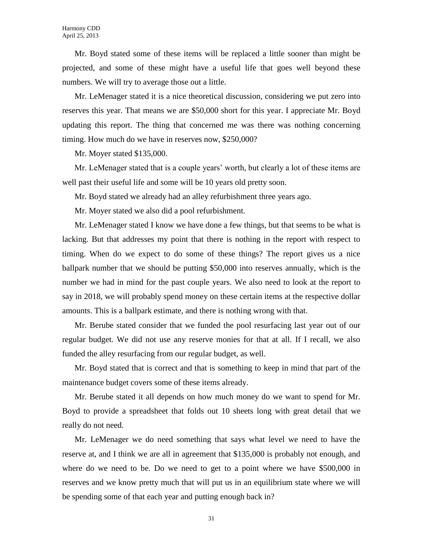Mr. Boyd stated some of these items will be replaced a little sooner than might be projected, and some of these might have a useful life that goes well beyond these numbers. We will try to average those out a little.

Mr. LeMenager stated it is a nice theoretical discussion, considering we put zero into reserves this year. That means we are \$50,000 short for this year. I appreciate Mr. Boyd updating this report. The thing that concerned me was there was nothing concerning timing. How much do we have in reserves now, \$250,000?

Mr. Moyer stated \$135,000.

Mr. LeMenager stated that is a couple years' worth, but clearly a lot of these items are well past their useful life and some will be 10 years old pretty soon.

Mr. Boyd stated we already had an alley refurbishment three years ago.

Mr. Moyer stated we also did a pool refurbishment.

Mr. LeMenager stated I know we have done a few things, but that seems to be what is lacking. But that addresses my point that there is nothing in the report with respect to timing. When do we expect to do some of these things? The report gives us a nice ballpark number that we should be putting \$50,000 into reserves annually, which is the number we had in mind for the past couple years. We also need to look at the report to say in 2018, we will probably spend money on these certain items at the respective dollar amounts. This is a ballpark estimate, and there is nothing wrong with that.

Mr. Berube stated consider that we funded the pool resurfacing last year out of our regular budget. We did not use any reserve monies for that at all. If I recall, we also funded the alley resurfacing from our regular budget, as well.

Mr. Boyd stated that is correct and that is something to keep in mind that part of the maintenance budget covers some of these items already.

Mr. Berube stated it all depends on how much money do we want to spend for Mr. Boyd to provide a spreadsheet that folds out 10 sheets long with great detail that we really do not need.

Mr. LeMenager we do need something that says what level we need to have the reserve at, and I think we are all in agreement that \$135,000 is probably not enough, and where do we need to be. Do we need to get to a point where we have \$500,000 in reserves and we know pretty much that will put us in an equilibrium state where we will be spending some of that each year and putting enough back in?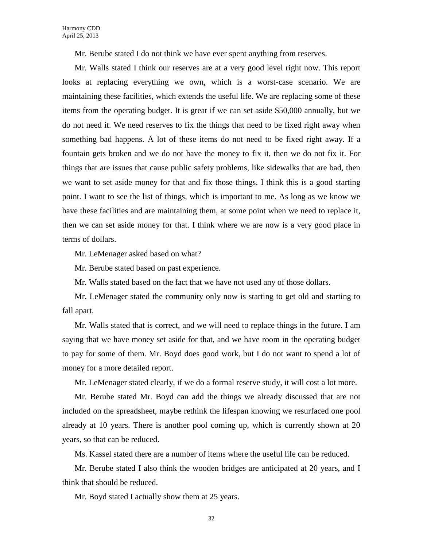Mr. Berube stated I do not think we have ever spent anything from reserves.

Mr. Walls stated I think our reserves are at a very good level right now. This report looks at replacing everything we own, which is a worst-case scenario. We are maintaining these facilities, which extends the useful life. We are replacing some of these items from the operating budget. It is great if we can set aside \$50,000 annually, but we do not need it. We need reserves to fix the things that need to be fixed right away when something bad happens. A lot of these items do not need to be fixed right away. If a fountain gets broken and we do not have the money to fix it, then we do not fix it. For things that are issues that cause public safety problems, like sidewalks that are bad, then we want to set aside money for that and fix those things. I think this is a good starting point. I want to see the list of things, which is important to me. As long as we know we have these facilities and are maintaining them, at some point when we need to replace it, then we can set aside money for that. I think where we are now is a very good place in terms of dollars.

Mr. LeMenager asked based on what?

Mr. Berube stated based on past experience.

Mr. Walls stated based on the fact that we have not used any of those dollars.

Mr. LeMenager stated the community only now is starting to get old and starting to fall apart.

Mr. Walls stated that is correct, and we will need to replace things in the future. I am saying that we have money set aside for that, and we have room in the operating budget to pay for some of them. Mr. Boyd does good work, but I do not want to spend a lot of money for a more detailed report.

Mr. LeMenager stated clearly, if we do a formal reserve study, it will cost a lot more.

Mr. Berube stated Mr. Boyd can add the things we already discussed that are not included on the spreadsheet, maybe rethink the lifespan knowing we resurfaced one pool already at 10 years. There is another pool coming up, which is currently shown at 20 years, so that can be reduced.

Ms. Kassel stated there are a number of items where the useful life can be reduced.

Mr. Berube stated I also think the wooden bridges are anticipated at 20 years, and I think that should be reduced.

Mr. Boyd stated I actually show them at 25 years.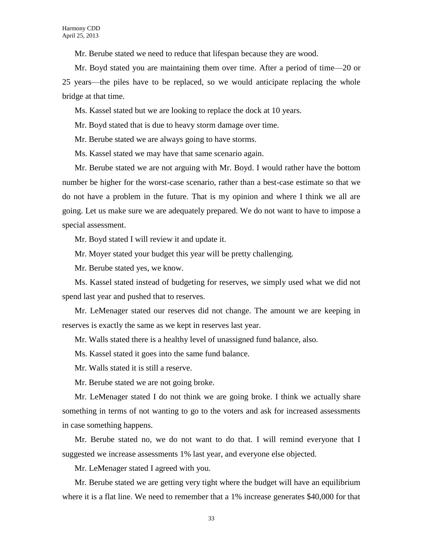Mr. Berube stated we need to reduce that lifespan because they are wood.

Mr. Boyd stated you are maintaining them over time. After a period of time—20 or 25 years—the piles have to be replaced, so we would anticipate replacing the whole bridge at that time.

Ms. Kassel stated but we are looking to replace the dock at 10 years.

Mr. Boyd stated that is due to heavy storm damage over time.

Mr. Berube stated we are always going to have storms.

Ms. Kassel stated we may have that same scenario again.

Mr. Berube stated we are not arguing with Mr. Boyd. I would rather have the bottom number be higher for the worst-case scenario, rather than a best-case estimate so that we do not have a problem in the future. That is my opinion and where I think we all are going. Let us make sure we are adequately prepared. We do not want to have to impose a special assessment.

Mr. Boyd stated I will review it and update it.

Mr. Moyer stated your budget this year will be pretty challenging.

Mr. Berube stated yes, we know.

Ms. Kassel stated instead of budgeting for reserves, we simply used what we did not spend last year and pushed that to reserves.

Mr. LeMenager stated our reserves did not change. The amount we are keeping in reserves is exactly the same as we kept in reserves last year.

Mr. Walls stated there is a healthy level of unassigned fund balance, also.

Ms. Kassel stated it goes into the same fund balance.

Mr. Walls stated it is still a reserve.

Mr. Berube stated we are not going broke.

Mr. LeMenager stated I do not think we are going broke. I think we actually share something in terms of not wanting to go to the voters and ask for increased assessments in case something happens.

Mr. Berube stated no, we do not want to do that. I will remind everyone that I suggested we increase assessments 1% last year, and everyone else objected.

Mr. LeMenager stated I agreed with you.

Mr. Berube stated we are getting very tight where the budget will have an equilibrium where it is a flat line. We need to remember that a 1% increase generates \$40,000 for that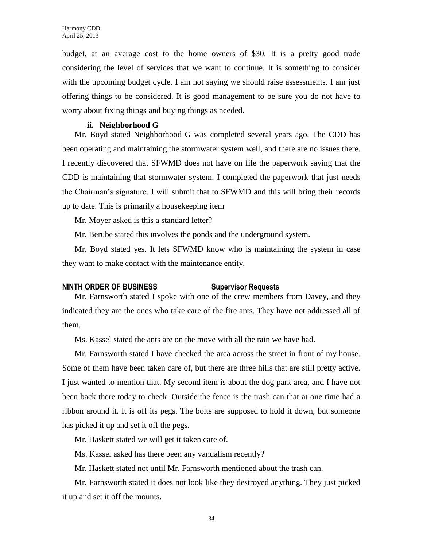budget, at an average cost to the home owners of \$30. It is a pretty good trade considering the level of services that we want to continue. It is something to consider with the upcoming budget cycle. I am not saying we should raise assessments. I am just offering things to be considered. It is good management to be sure you do not have to worry about fixing things and buying things as needed.

#### **ii. Neighborhood G**

Mr. Boyd stated Neighborhood G was completed several years ago. The CDD has been operating and maintaining the stormwater system well, and there are no issues there. I recently discovered that SFWMD does not have on file the paperwork saying that the CDD is maintaining that stormwater system. I completed the paperwork that just needs the Chairman's signature. I will submit that to SFWMD and this will bring their records up to date. This is primarily a housekeeping item

Mr. Moyer asked is this a standard letter?

Mr. Berube stated this involves the ponds and the underground system.

Mr. Boyd stated yes. It lets SFWMD know who is maintaining the system in case they want to make contact with the maintenance entity.

# **NINTH ORDER OF BUSINESS Supervisor Requests**

Mr. Farnsworth stated I spoke with one of the crew members from Davey, and they indicated they are the ones who take care of the fire ants. They have not addressed all of them.

Ms. Kassel stated the ants are on the move with all the rain we have had.

Mr. Farnsworth stated I have checked the area across the street in front of my house. Some of them have been taken care of, but there are three hills that are still pretty active. I just wanted to mention that. My second item is about the dog park area, and I have not been back there today to check. Outside the fence is the trash can that at one time had a ribbon around it. It is off its pegs. The bolts are supposed to hold it down, but someone has picked it up and set it off the pegs.

Mr. Haskett stated we will get it taken care of.

Ms. Kassel asked has there been any vandalism recently?

Mr. Haskett stated not until Mr. Farnsworth mentioned about the trash can.

Mr. Farnsworth stated it does not look like they destroyed anything. They just picked it up and set it off the mounts.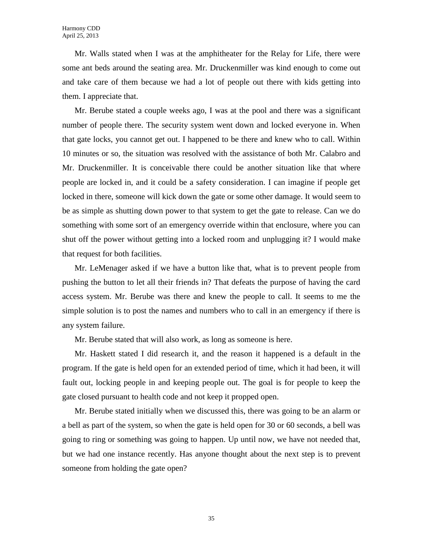Mr. Walls stated when I was at the amphitheater for the Relay for Life, there were some ant beds around the seating area. Mr. Druckenmiller was kind enough to come out and take care of them because we had a lot of people out there with kids getting into them. I appreciate that.

Mr. Berube stated a couple weeks ago, I was at the pool and there was a significant number of people there. The security system went down and locked everyone in. When that gate locks, you cannot get out. I happened to be there and knew who to call. Within 10 minutes or so, the situation was resolved with the assistance of both Mr. Calabro and Mr. Druckenmiller. It is conceivable there could be another situation like that where people are locked in, and it could be a safety consideration. I can imagine if people get locked in there, someone will kick down the gate or some other damage. It would seem to be as simple as shutting down power to that system to get the gate to release. Can we do something with some sort of an emergency override within that enclosure, where you can shut off the power without getting into a locked room and unplugging it? I would make that request for both facilities.

Mr. LeMenager asked if we have a button like that, what is to prevent people from pushing the button to let all their friends in? That defeats the purpose of having the card access system. Mr. Berube was there and knew the people to call. It seems to me the simple solution is to post the names and numbers who to call in an emergency if there is any system failure.

Mr. Berube stated that will also work, as long as someone is here.

Mr. Haskett stated I did research it, and the reason it happened is a default in the program. If the gate is held open for an extended period of time, which it had been, it will fault out, locking people in and keeping people out. The goal is for people to keep the gate closed pursuant to health code and not keep it propped open.

Mr. Berube stated initially when we discussed this, there was going to be an alarm or a bell as part of the system, so when the gate is held open for 30 or 60 seconds, a bell was going to ring or something was going to happen. Up until now, we have not needed that, but we had one instance recently. Has anyone thought about the next step is to prevent someone from holding the gate open?